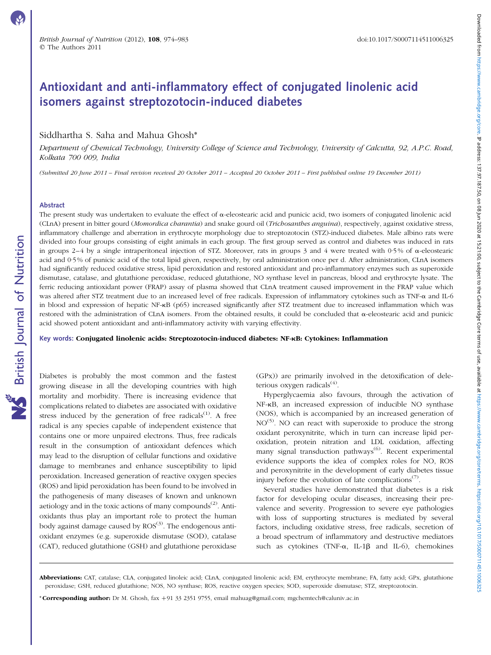# Antioxidant and anti-inflammatory effect of conjugated linolenic acid isomers against streptozotocin-induced diabetes

## Siddhartha S. Saha and Mahua Ghosh\*

Department of Chemical Technology, University College of Science and Technology, University of Calcutta, 92, A.P.C. Road, Kolkata 700 009, India

(Submitted 20 June 2011 – Final revision received 20 October 2011 – Accepted 20 October 2011 – First published online 19 December 2011)

#### Abstract

British Journal of Nutrition

**NS** British Journal of Nutrition

The present study was undertaken to evaluate the effect of  $\alpha$ -eleostearic acid and punicic acid, two isomers of conjugated linolenic acid (CLnA) present in bitter gourd (Momordica charantia) and snake gourd oil (Trichosanthes anguina), respectively, against oxidative stress, inflammatory challenge and aberration in erythrocyte morphology due to streptozotocin (STZ)-induced diabetes. Male albino rats were divided into four groups consisting of eight animals in each group. The first group served as control and diabetes was induced in rats in groups 2–4 by a single intraperitoneal injection of STZ. Moreover, rats in groups 3 and 4 were treated with 0.5% of  $\alpha$ -eleostearic acid and 0·5 % of punicic acid of the total lipid given, respectively, by oral administration once per d. After administration, CLnA isomers had significantly reduced oxidative stress, lipid peroxidation and restored antioxidant and pro-inflammatory enzymes such as superoxide dismutase, catalase, and glutathione peroxidase, reduced glutathione, NO synthase level in pancreas, blood and erythrocyte lysate. The ferric reducing antioxidant power (FRAP) assay of plasma showed that CLnA treatment caused improvement in the FRAP value which was altered after STZ treatment due to an increased level of free radicals. Expression of inflammatory cytokines such as TNF- $\alpha$  and IL-6 in blood and expression of hepatic NF-kB (p65) increased significantly after STZ treatment due to increased inflammation which was restored with the administration of CLnA isomers. From the obtained results, it could be concluded that  $\alpha$ -eleostearic acid and punicic acid showed potent antioxidant and anti-inflammatory activity with varying effectivity.

Key words: Conjugated linolenic acids: Streptozotocin-induced diabetes: NF-*k*B: Cytokines: Inflammation

Diabetes is probably the most common and the fastest growing disease in all the developing countries with high mortality and morbidity. There is increasing evidence that complications related to diabetes are associated with oxidative stress induced by the generation of free radicals<sup> $(1)$ </sup>. A free radical is any species capable of independent existence that contains one or more unpaired electrons. Thus, free radicals result in the consumption of antioxidant defences which may lead to the disruption of cellular functions and oxidative damage to membranes and enhance susceptibility to lipid peroxidation. Increased generation of reactive oxygen species (ROS) and lipid peroxidation has been found to be involved in the pathogenesis of many diseases of known and unknown aetiology and in the toxic actions of many compounds<sup> $(2)$ </sup>. Antioxidants thus play an important role to protect the human body against damage caused by  $ROS^{(3)}$ . The endogenous antioxidant enzymes (e.g. superoxide dismutase (SOD), catalase (CAT), reduced glutathione (GSH) and glutathione peroxidase (GPx)) are primarily involved in the detoxification of deleterious oxygen radicals<sup> $(4)$ </sup>.

Hyperglycaemia also favours, through the activation of NF- $\kappa$ B, an increased expression of inducible NO synthase (NOS), which is accompanied by an increased generation of  $NO<sup>(5)</sup>$ . NO can react with superoxide to produce the strong oxidant peroxynitrite, which in turn can increase lipid peroxidation, protein nitration and LDL oxidation, affecting many signal transduction pathways<sup>(6)</sup>. Recent experimental evidence supports the idea of complex roles for NO, ROS and peroxynitrite in the development of early diabetes tissue injury before the evolution of late complications<sup> $(7)$ </sup>.

Several studies have demonstrated that diabetes is a risk factor for developing ocular diseases, increasing their prevalence and severity. Progression to severe eye pathologies with loss of supporting structures is mediated by several factors, including oxidative stress, free radicals, secretion of a broad spectrum of inflammatory and destructive mediators such as cytokines (TNF- $\alpha$ , IL-1 $\beta$  and IL-6), chemokines

Abbreviations: CAT, catalase; CLA, conjugated linoleic acid; CLnA, conjugated linolenic acid; EM, erythrocyte membrane; FA, fatty acid; GPx, glutathione peroxidase; GSH, reduced glutathione; NOS, NO synthase; ROS, reactive oxygen species; SOD, superoxide dismutase; STZ, streptozotocin.

<sup>\*</sup>Corresponding author: Dr M. Ghosh, fax +91 33 2351 9755, email mahuag@gmail.com; mgchemtech@caluniv.ac.in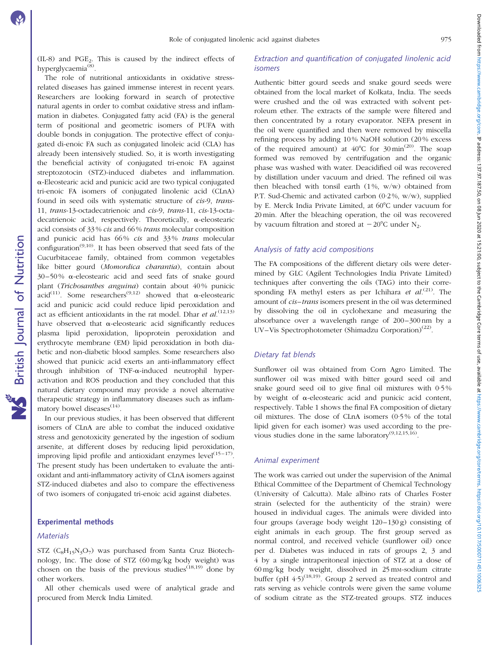$(IL-8)$  and PGE<sub>2</sub>. This is caused by the indirect effects of hyperglycaemia<sup>(8)</sup>.

The role of nutritional antioxidants in oxidative stressrelated diseases has gained immense interest in recent years. Researchers are looking forward in search of protective natural agents in order to combat oxidative stress and inflammation in diabetes. Conjugated fatty acid (FA) is the general term of positional and geometric isomers of PUFA with double bonds in conjugation. The protective effect of conjugated di-enoic FA such as conjugated linoleic acid (CLA) has already been intensively studied. So, it is worth investigating the beneficial activity of conjugated tri-enoic FA against streptozotocin (STZ)-induced diabetes and inflammation. a-Eleostearic acid and punicic acid are two typical conjugated tri-enoic FA isomers of conjugated linolenic acid (CLnA) found in seed oils with systematic structure of cis-9, trans-11, trans-13-octadecatrienoic and cis-9, trans-11, cis-13-octadecatrienoic acid, respectively. Theoretically, α-eleostearic acid consists of 33 % cis and 66 % trans molecular composition and punicic acid has  $66\%$  *cis* and  $33\%$  *trans* molecular configuration<sup> $(9,10)$ </sup>. It has been observed that seed fats of the Cucurbitaceae family, obtained from common vegetables like bitter gourd (Momordica charantia), contain about  $30-50\%$   $\alpha$ -eleostearic acid and seed fats of snake gourd plant (Trichosanthes anguina) contain about 40 % punicic acid<sup>(11)</sup>. Some researchers<sup>(9,12)</sup> showed that  $\alpha$ -eleostearic acid and punicic acid could reduce lipid peroxidation and act as efficient antioxidants in the rat model. Dhar et  $al$ .<sup>(12,13)</sup> have observed that  $\alpha$ -eleostearic acid significantly reduces plasma lipid peroxidation, lipoprotein peroxidation and erythrocyte membrane (EM) lipid peroxidation in both diabetic and non-diabetic blood samples. Some researchers also showed that punicic acid exerts an anti-inflammatory effect through inhibition of TNF- $\alpha$ -induced neutrophil hyperactivation and ROS production and they concluded that this natural dietary compound may provide a novel alternative therapeutic strategy in inflammatory diseases such as inflammatory bowel diseases $(14)$ .

In our previous studies, it has been observed that different isomers of CLnA are able to combat the induced oxidative stress and genotoxicity generated by the ingestion of sodium arsenite, at different doses by reducing lipid peroxidation, improving lipid profile and antioxidant enzymes level $(15-17)$ . The present study has been undertaken to evaluate the antioxidant and anti-inflammatory activity of CLnA isomers against STZ-induced diabetes and also to compare the effectiveness of two isomers of conjugated tri-enoic acid against diabetes.

#### Experimental methods

#### **Materials**

British Journal of Nutrition

**NS** British Journal of Nutrition

STZ ( $C_8H_15N_3O_7$ ) was purchased from Santa Cruz Biotechnology, Inc. The dose of STZ (60 mg/kg body weight) was chosen on the basis of the previous studies<sup>(18,19)</sup> done by other workers.

All other chemicals used were of analytical grade and procured from Merck India Limited.

### Extraction and quantification of conjugated linolenic acid isomers

Authentic bitter gourd seeds and snake gourd seeds were obtained from the local market of Kolkata, India. The seeds were crushed and the oil was extracted with solvent petroleum ether. The extracts of the sample were filtered and then concentrated by a rotary evaporator. NEFA present in the oil were quantified and then were removed by miscella refining process by adding 10 % NaOH solution (20 % excess of the required amount) at  $40^{\circ}$ C for  $30 \text{ min}^{(20)}$ . The soap formed was removed by centrifugation and the organic phase was washed with water. Deacidified oil was recovered by distillation under vacuum and dried. The refined oil was then bleached with tonsil earth  $(1\%, w/w)$  obtained from P.T. Sud-Chemic and activated carbon (0·2 %, w/w), supplied by E. Merck India Private Limited, at 60°C under vacuum for 20 min. After the bleaching operation, the oil was recovered by vacuum filtration and stored at  $-20^{\circ}$ C under N<sub>2</sub>.

#### Analysis of fatty acid compositions

The FA compositions of the different dietary oils were determined by GLC (Agilent Technologies India Private Limited) techniques after converting the oils (TAG) into their corresponding FA methyl esters as per Ichihara et  $al^{(21)}$ . The amount of *cis-trans* isomers present in the oil was determined by dissolving the oil in cyclohexane and measuring the absorbance over a wavelength range of 200–300 nm by a UV–Vis Spectrophotometer (Shimadzu Corporation)<sup>(22)</sup>.

## Dietary fat blends

Sunflower oil was obtained from Corn Agro Limited. The sunflower oil was mixed with bitter gourd seed oil and snake gourd seed oil to give final oil mixtures with 0·5 % by weight of  $\alpha$ -eleostearic acid and punicic acid content, respectively. [Table 1](#page-2-0) shows the final FA composition of dietary oil mixtures. The dose of CLnA isomers (0·5 % of the total lipid given for each isomer) was used according to the previous studies done in the same laboratory $(9,12,15,16)$ .

## Animal experiment

The work was carried out under the supervision of the Animal Ethical Committee of the Department of Chemical Technology (University of Calcutta). Male albino rats of Charles Foster strain (selected for the authenticity of the strain) were housed in individual cages. The animals were divided into four groups (average body weight 120–130 g) consisting of eight animals in each group. The first group served as normal control, and received vehicle (sunflower oil) once per d. Diabetes was induced in rats of groups 2, 3 and 4 by a single intraperitoneal injection of STZ at a dose of 60 mg/kg body weight, dissolved in 25 mM-sodium citrate buffer (pH  $(4.5)^{(18,19)}$ ). Group 2 served as treated control and rats serving as vehicle controls were given the same volume of sodium citrate as the STZ-treated groups. STZ induces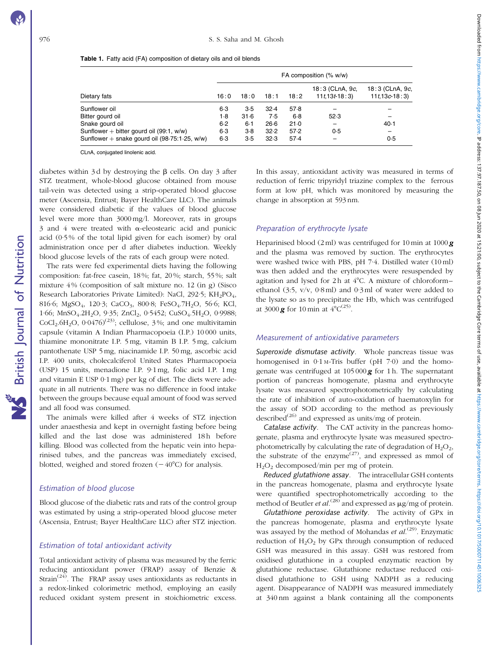**NS** British Journal of Nutrition

|                                                 | FA composition $(\% w/w)$ |         |        |         |                                    |                                    |  |  |
|-------------------------------------------------|---------------------------|---------|--------|---------|------------------------------------|------------------------------------|--|--|
| Dietary fats                                    | 16:0                      | 18:0    | 18:1   | 18:2    | 18:3 (CLnA, 9c,<br>$11t, 13t-18:3$ | 18:3 (CLnA, 9c,<br>$11t, 13c-18:3$ |  |  |
| Sunflower oil                                   | $6-3$                     | 3.5     | 32.4   | 57.8    |                                    |                                    |  |  |
| Bitter gourd oil                                | 1.8                       | 31.6    | 7.5    | $6 - 8$ | 52.3                               |                                    |  |  |
| Snake gourd oil                                 | 6.2                       | $6 - 1$ | $26-6$ | 21.0    |                                    | $40-1$                             |  |  |
| Sunflower + bitter gourd oil $(99:1, w/w)$      | $6-3$                     | $3-8$   | 32.2   | 57.2    | 0.5                                |                                    |  |  |
| Sunflower + snake gourd oil $(98.75:1.25, w/w)$ | $6-3$                     | 3.5     | 32.3   | 57.4    |                                    | 0.5                                |  |  |

<span id="page-2-0"></span>

| Table 1. Fatty acid (FA) composition of dietary oils and oil blends |  |  |
|---------------------------------------------------------------------|--|--|
|---------------------------------------------------------------------|--|--|

CLnA, conjugated linolenic acid.

diabetes within  $3d$  by destroying the  $\beta$  cells. On day 3 after STZ treatment, whole-blood glucose obtained from mouse tail-vein was detected using a strip-operated blood glucose meter (Ascensia, Entrust; Bayer HealthCare LLC). The animals were considered diabetic if the values of blood glucose level were more than 3000 mg/l. Moreover, rats in groups 3 and 4 were treated with  $\alpha$ -eleostearic acid and punicic acid (0·5 % of the total lipid given for each isomer) by oral administration once per d after diabetes induction. Weekly blood glucose levels of the rats of each group were noted.

The rats were fed experimental diets having the following composition: fat-free casein, 18 %; fat, 20 %; starch, 55 %; salt mixture 4 % (composition of salt mixture no. 12 (in g) (Sisco Research Laboratories Private Limited): NaCl, 292.5; KH<sub>2</sub>PO<sub>4</sub>, 816·6; MgSO<sub>4</sub>, 120·3; CaCO<sub>3</sub>, 800·8; FeSO<sub>4</sub>.7H<sub>2</sub>O, 56·6; KCl, 1.66; MnSO<sub>4</sub>.2H<sub>2</sub>O, 9.35; ZnCl<sub>2</sub>, 0.5452; CuSO<sub>4</sub>.5H<sub>2</sub>O, 0.9988; CoCl<sub>2</sub>.6H<sub>2</sub>O,  $0.0476$ <sup>(23)</sup>; cellulose, 3%; and one multivitamin capsule (vitamin A Indian Pharmacopoeia (I.P.) 10 000 units, thiamine mononitrate I.P. 5 mg, vitamin B I.P. 5 mg, calcium pantothenate USP 5 mg, niacinamide I.P. 50 mg, ascorbic acid I.P. 400 units, cholecalciferol United States Pharmacopoeia (USP) 15 units, menadione I.P. 9·1 mg, folic acid I.P. 1 mg and vitamin E USP 0·1 mg) per kg of diet. The diets were adequate in all nutrients. There was no difference in food intake between the groups because equal amount of food was served and all food was consumed.

The animals were killed after 4 weeks of STZ injection under anaesthesia and kept in overnight fasting before being killed and the last dose was administered 18h before killing. Blood was collected from the hepatic vein into heparinised tubes, and the pancreas was immediately excised, blotted, weighed and stored frozen  $(-40^{\circ}C)$  for analysis.

## Estimation of blood glucose

Blood glucose of the diabetic rats and rats of the control group was estimated by using a strip-operated blood glucose meter (Ascensia, Entrust; Bayer HealthCare LLC) after STZ injection.

#### Estimation of total antioxidant activity

Total antioxidant activity of plasma was measured by the ferric reducing antioxidant power (FRAP) assay of Benzie & Strain<sup>(24)</sup>. The FRAP assay uses antioxidants as reductants in a redox-linked colorimetric method, employing an easily reduced oxidant system present in stoichiometric excess.

In this assay, antioxidant activity was measured in terms of reduction of ferric tripyridyl triazine complex to the ferrous form at low pH, which was monitored by measuring the change in absorption at 593 nm.

#### Preparation of erythrocyte lysate

Heparinised blood (2 ml) was centrifuged for 10 min at 1000  $g$ and the plasma was removed by suction. The erythrocytes were washed twice with PBS, pH 7·4. Distilled water (10 ml) was then added and the erythrocytes were resuspended by agitation and lysed for 2 h at  $4^{\circ}$ C. A mixture of chloroform– ethanol (3:5,  $v/v$ , 0.8 ml) and 0.3 ml of water were added to the lysate so as to precipitate the Hb, which was centrifuged at 3000 **g** for 10 min at  $4^{\circ}C^{(25)}$ .

## Measurement of antioxidative parameters

Superoxide dismutase activity. Whole pancreas tissue was homogenised in  $0.1$  M-Tris buffer (pH 7.0) and the homogenate was centrifuged at  $105000\,\text{g}$  for 1 h. The supernatant portion of pancreas homogenate, plasma and erythrocyte lysate was measured spectrophotometrically by calculating the rate of inhibition of auto-oxidation of haematoxylin for the assay of SOD according to the method as previously described<sup>(26)</sup> and expressed as units/mg of protein.

Catalase activity. The CAT activity in the pancreas homogenate, plasma and erythrocyte lysate was measured spectrophotometrically by calculating the rate of degradation of  $H_2O_2$ , the substrate of the enzyme<sup> $(27)$ </sup>, and expressed as mmol of H2O2 decomposed/min per mg of protein.

Reduced glutathione assay. The intracellular GSH contents in the pancreas homogenate, plasma and erythrocyte lysate were quantified spectrophotometrically according to the method of Beutler *et al.*<sup>(28)</sup> and expressed as  $\mu$ g/mg of protein.

Glutathione peroxidase activity. The activity of GPx in the pancreas homogenate, plasma and erythrocyte lysate was assayed by the method of Mohandas *et al.*<sup>(29)</sup>. Enzymatic reduction of  $H_2O_2$  by GPx through consumption of reduced GSH was measured in this assay. GSH was restored from oxidised glutathione in a coupled enzymatic reaction by glutathione reductase. Glutathione reductase reduced oxidised glutathione to GSH using NADPH as a reducing agent. Disappearance of NADPH was measured immediately at 340 nm against a blank containing all the components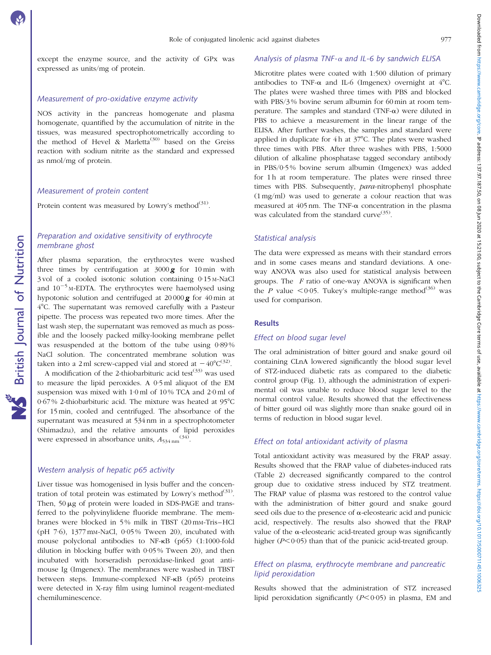Downloaded from https://www.cambridge.org/core. IP address: 137.97.187.50, ou 08 Jun 2020 at 15:21:00, subject to the Cambridge Core terms of use, available at https://www.cambridge.org/core/terms. https://a011451100632:14 Downloaded from https://www.cambridge.org/core. IP address: 137.90, on 08 Jun 2020 at 15:21:00, subject to the Cambridge Core terms of use, available at https://www.cambridge.org/core/terms. https://www.cambridge.org/core/

except the enzyme source, and the activity of GPx was expressed as units/mg of protein.

## Measurement of pro-oxidative enzyme activity

NOS activity in the pancreas homogenate and plasma homogenate, quantified by the accumulation of nitrite in the tissues, was measured spectrophotometrically according to the method of Hevel  $\&$  Marletta<sup>(30)</sup> based on the Greiss reaction with sodium nitrite as the standard and expressed as nmol/mg of protein.

#### Measurement of protein content

Protein content was measured by Lowry's method $(31)$ .

## Preparation and oxidative sensitivity of erythrocyte membrane ghost

After plasma separation, the erythrocytes were washed three times by centrifugation at  $3000\,\text{g}$  for 10 min with 3 vol of a cooled isotonic solution containing 0·15 M-NaCl and  $10^{-5}$  M-EDTA. The erythrocytes were haemolysed using hypotonic solution and centrifuged at  $20000\,g$  for  $40\,\text{min}$  at 4°C. The supernatant was removed carefully with a Pasteur pipette. The process was repeated two more times. After the last wash step, the supernatant was removed as much as possible and the loosely packed milky-looking membrane pellet was resuspended at the bottom of the tube using 0·89 % NaCl solution. The concentrated membrane solution was taken into a 2 ml screw-capped vial and stored at  $-40^{\circ}C^{(32)}$ .

A modification of the 2-thiobarbituric acid test<sup> $(33)$ </sup> was used to measure the lipid peroxides. A 0·5 ml aliquot of the EM suspension was mixed with 1·0 ml of 10 % TCA and 2·0 ml of  $0.67\%$  2-thiobarbituric acid. The mixture was heated at 95 $^{\circ}$ C for 15 min, cooled and centrifuged. The absorbance of the supernatant was measured at 534 nm in a spectrophotometer (Shimadzu), and the relative amounts of lipid peroxides were expressed in absorbance units,  $A_{534 \text{ nm}}^{(34)}$ .

## Western analysis of hepatic p65 activity

Liver tissue was homogenised in lysis buffer and the concentration of total protein was estimated by Lowry's method<sup>(31)</sup>. Then,  $50 \mu g$  of protein were loaded in SDS-PAGE and transferred to the polyvinylidene fluoride membrane. The membranes were blocked in 5% milk in TBST (20 mm-Tris–HCl (pH 7·6), 1377 mM-NaCl, 0·05 % Tween 20), incubated with mouse polyclonal antibodies to NF-kB (p65) (1:1000-fold dilution in blocking buffer with 0·05 % Tween 20), and then incubated with horseradish peroxidase-linked goat antimouse Ig (Imgenex). The membranes were washed in TBST between steps. Immune-complexed NF-kB (p65) proteins were detected in X-ray film using luminol reagent-mediated chemiluminescence.

#### Analysis of plasma TNF- $\alpha$  and IL-6 by sandwich ELISA

Microtitre plates were coated with 1:500 dilution of primary antibodies to TNF- $\alpha$  and IL-6 (Imgenex) overnight at 4°C. The plates were washed three times with PBS and blocked with PBS/3 % bovine serum albumin for 60 min at room temperature. The samples and standard (TNF- $\alpha$ ) were diluted in PBS to achieve a measurement in the linear range of the ELISA. After further washes, the samples and standard were applied in duplicate for  $4 h$  at  $37^{\circ}$ C. The plates were washed three times with PBS. After three washes with PBS, 1:5000 dilution of alkaline phosphatase tagged secondary antibody in PBS/0·5 % bovine serum albumin (Imgenex) was added for 1h at room temperature. The plates were rinsed three times with PBS. Subsequently, para-nitrophenyl phosphate (1 mg/ml) was used to generate a colour reaction that was measured at  $405$  nm. The TNF- $\alpha$  concentration in the plasma was calculated from the standard curve  $(35)$ .

#### Statistical analysis

The data were expressed as means with their standard errors and in some cases means and standard deviations. A oneway ANOVA was also used for statistical analysis between groups. The  $F$  ratio of one-way ANOVA is significant when the P value  $\leq 0.05$ . Tukey's multiple-range method<sup>(36)</sup> was used for comparison.

## **Results**

#### Effect on blood sugar level

The oral administration of bitter gourd and snake gourd oil containing CLnA lowered significantly the blood sugar level of STZ-induced diabetic rats as compared to the diabetic control group [\(Fig. 1\)](#page-4-0), although the administration of experimental oil was unable to reduce blood sugar level to the normal control value. Results showed that the effectiveness of bitter gourd oil was slightly more than snake gourd oil in terms of reduction in blood sugar level.

## Effect on total antioxidant activity of plasma

Total antioxidant activity was measured by the FRAP assay. Results showed that the FRAP value of diabetes-induced rats ([Table 2\)](#page-4-0) decreased significantly compared to the control group due to oxidative stress induced by STZ treatment. The FRAP value of plasma was restored to the control value with the administration of bitter gourd and snake gourd seed oils due to the presence of  $\alpha$ -eleostearic acid and punicic acid, respectively. The results also showed that the FRAP value of the  $\alpha$ -eleostearic acid-treated group was significantly higher  $(P<0.05)$  than that of the punicic acid-treated group.

## Effect on plasma, erythrocyte membrane and pancreatic lipid peroxidation

Results showed that the administration of STZ increased lipid peroxidation significantly  $(P<0.05)$  in plasma, EM and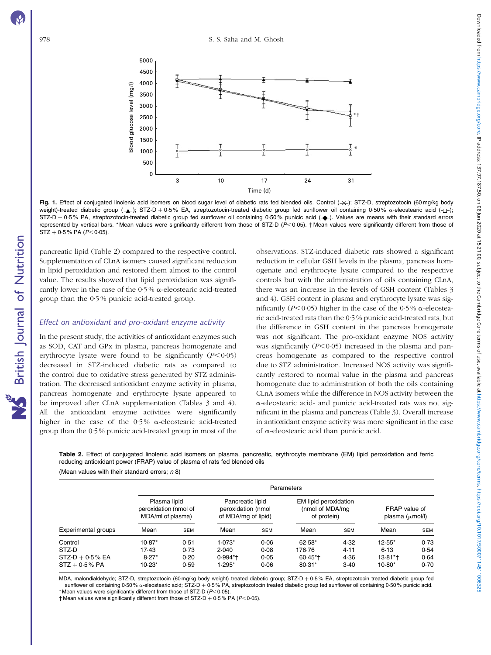**S** British Journal of Nutrition

<span id="page-4-0"></span>

Fig. 1. Effect of conjugated linolenic acid isomers on blood sugar level of diabetic rats fed blended oils. Control  $(\rightarrow\leftarrow)$ ; STZ-D, streptozotocin (60 mg/kg body weight)-treated diabetic group ( $\blacktriangle$ ); STZ-D + 0.5% EA, streptozotocin-treated diabetic group fed sunflower oil containing 0.50% a-eleostearic acid ( $\Box$ );  $STZ-D + 0.5\%$  PA, streptozotocin-treated diabetic group fed sunflower oil containing 0.50% punicic acid ( $\blacklozenge$ ). Values are means with their standard errors represented by vertical bars. \* Mean values were significantly different from those of STZ-D  $(P< 0.05)$ . † Mean values were significantly different from those of  $STZ + 0.5\%$  PA ( $P < 0.05$ ).

pancreatic lipid (Table 2) compared to the respective control. Supplementation of CLnA isomers caused significant reduction in lipid peroxidation and restored them almost to the control value. The results showed that lipid peroxidation was significantly lower in the case of the  $0.5\%$   $\alpha$ -eleostearic acid-treated group than the 0·5 % punicic acid-treated group.

## Effect on antioxidant and pro-oxidant enzyme activity

In the present study, the activities of antioxidant enzymes such as SOD, CAT and GPx in plasma, pancreas homogenate and erythrocyte lysate were found to be significantly  $(P<0.05)$ decreased in STZ-induced diabetic rats as compared to the control due to oxidative stress generated by STZ administration. The decreased antioxidant enzyme activity in plasma, pancreas homogenate and erythrocyte lysate appeared to be improved after CLnA supplementation ([Tables 3 and 4](#page-5-0)). All the antioxidant enzyme activities were significantly higher in the case of the 0.5%  $\alpha$ -eleostearic acid-treated group than the 0·5 % punicic acid-treated group in most of the

observations. STZ-induced diabetic rats showed a significant reduction in cellular GSH levels in the plasma, pancreas homogenate and erythrocyte lysate compared to the respective controls but with the administration of oils containing CLnA, there was an increase in the levels of GSH content [\(Tables 3](#page-5-0) [and 4](#page-5-0)). GSH content in plasma and erythrocyte lysate was significantly ( $P \le 0.05$ ) higher in the case of the 0.5%  $\alpha$ -eleostearic acid-treated rats than the 0·5 % punicic acid-treated rats, but the difference in GSH content in the pancreas homogenate was not significant. The pro-oxidant enzyme NOS activity was significantly  $(P<0.05)$  increased in the plasma and pancreas homogenate as compared to the respective control due to STZ administration. Increased NOS activity was significantly restored to normal value in the plasma and pancreas homogenate due to administration of both the oils containing CLnA isomers while the difference in NOS activity between the a-eleostearic acid- and punicic acid-treated rats was not significant in the plasma and pancreas ([Table 3](#page-5-0)). Overall increase in antioxidant enzyme activity was more significant in the case of a-eleostearic acid than punicic acid.

Table 2. Effect of conjugated linolenic acid isomers on plasma, pancreatic, erythrocyte membrane (EM) lipid peroxidation and ferric reducing antioxidant power (FRAP) value of plasma of rats fed blended oils

|                     | Parameters                                                 |            |                                                               |            |                                                         |            |                                              |            |  |  |  |
|---------------------|------------------------------------------------------------|------------|---------------------------------------------------------------|------------|---------------------------------------------------------|------------|----------------------------------------------|------------|--|--|--|
| Experimental groups | Plasma lipid<br>peroxidation (nmol of<br>MDA/ml of plasma) |            | Pancreatic lipid<br>peroxidation (nmol<br>of MDA/mg of lipid) |            | EM lipid peroxidation<br>(nmol of MDA/mg<br>of protein) |            | FRAP value of<br>plasma $(\mu \text{mol/l})$ |            |  |  |  |
|                     | Mean                                                       | <b>SEM</b> | Mean                                                          | <b>SEM</b> | Mean                                                    | <b>SEM</b> | Mean                                         | <b>SEM</b> |  |  |  |
| Control             | $10.87*$                                                   | 0.51       | $1.073*$                                                      | 0.06       | $62.58*$                                                | 4.32       | $12.55*$                                     | 0.73       |  |  |  |
| STZ-D               | 17.43                                                      | 0.73       | 2.040                                                         | 0.08       | 176.76                                                  | 4.11       | 6.13                                         | 0.54       |  |  |  |
| $STZ-D + 0.5% EA$   | $8.27*$                                                    | 0.20       | $0.994*$                                                      | 0.05       | $60.45*$                                                | 4.36       | $13.81*$                                     | 0.64       |  |  |  |
| $STZ + 0.5% PA$     | $10.23*$                                                   | 0.59       | $1.295*$                                                      | 0.06       | 80-31*                                                  | 3.40       | $10.80*$                                     | 0.70       |  |  |  |

(Mean values with their standard errors;  $n$  8)

MDA, malondialdehyde; STZ-D, streptozotocin (60 mg/kg body weight) treated diabetic group; STZ-D + 0-5 % EA, streptozotocin treated diabetic group fed sunflower oil containing 0·50 %  $\alpha$ -eleostearic acid; STZ-D + 0·5 % PA, streptozotocin treated diabetic group fed sunflower oil containing 0·50 % punicic acid.

\* Mean values were significantly different from those of STZ-D ( $P<0.05$ ).

† Mean values were significantly different from those of STZ-D + 0·5 % PA ( $P$ <0·05).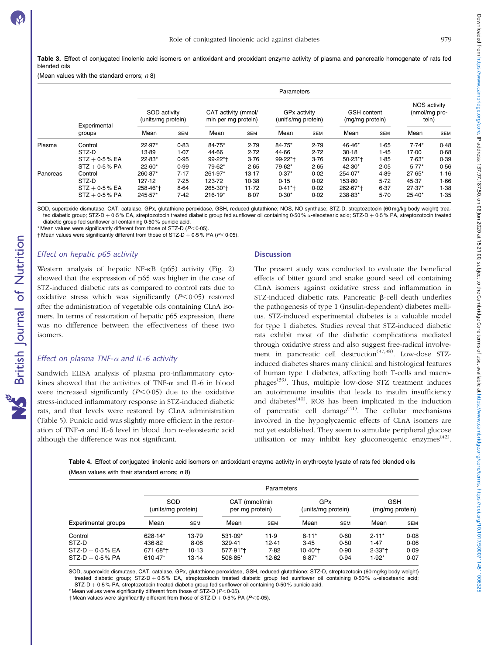<span id="page-5-0"></span>Table 3. Effect of conjugated linolenic acid isomers on antioxidant and prooxidant enzyme activity of plasma and pancreatic homogenate of rats fed blended oils

(Mean values with the standard errors;  $n 8$ )

|          |                        |                                                                                  | Parameters |           |                                     |            |                                       |          |                                               |          |            |  |
|----------|------------------------|----------------------------------------------------------------------------------|------------|-----------|-------------------------------------|------------|---------------------------------------|----------|-----------------------------------------------|----------|------------|--|
|          | Experimental<br>groups | SOD activity<br>CAT activity (mmol/<br>(units/mg protein)<br>min per mg protein) |            |           | GPx activity<br>(unit's/mg protein) |            | <b>GSH</b> content<br>(mg/mg protein) |          | <b>NOS activity</b><br>(nmol/mg pro-<br>tein) |          |            |  |
|          |                        | Mean                                                                             | <b>SEM</b> | Mean      | <b>SEM</b>                          | Mean       | <b>SEM</b>                            | Mean     | <b>SEM</b>                                    | Mean     | <b>SEM</b> |  |
| Plasma   | Control                | 22.97*                                                                           | 0.83       | 84.75*    | 2.79                                | 84.75*     | 2.79                                  | 46.46*   | 1.65                                          | $7.74*$  | 0.48       |  |
|          | STZ-D                  | $13-89$                                                                          | 1.07       | 44.66     | 2.72                                | 44.66      | 2.72                                  | 30.18    | 1.45                                          | 17.00    | 0.68       |  |
|          | $STZ + 0.5$ % EA       | $22.83*$                                                                         | 0.95       | 99.22*†   | 3.76                                | $99.22*$ t | 3.76                                  | $50.23*$ | 1.85                                          | $7.63*$  | 0.39       |  |
|          | $STZ + 0.5% PA$        | $22.60*$                                                                         | 0.99       | 79.62*    | 2.65                                | 79.62*     | 2.65                                  | $42.30*$ | 2.05                                          | $5.77*$  | 0.56       |  |
| Pancreas | Control                | 260.87*                                                                          | 7.17       | 261.97*   | 13.17                               | $0.37*$    | 0.02                                  | 254.07*  | 4.89                                          | $27.65*$ | 1.16       |  |
|          | STZ-D                  | 127.12                                                                           | 7.25       | 123.72    | 10.38                               | 0.15       | 0.02                                  | 153-80   | 5.72                                          | 45.37    | 1.66       |  |
|          | $STZ + 0.5$ % EA       | 258-46*†                                                                         | 8.64       | 265-30*+  | 11.72                               | $0.41*$    | 0.02                                  | 262.67*+ | 6.37                                          | $27.37*$ | 1.38       |  |
|          | $STZ + 0.5% PA$        | 245.57*                                                                          | 7.42       | $216.19*$ | 8.07                                | $0.30*$    | 0.02                                  | 238.83*  | 5.70                                          | $25.40*$ | 1.35       |  |

SOD, superoxide dismutase, CAT, catalase, GPx, glutathione peroxidase, GSH, reduced glutathione; NOS, NO synthase; STZ-D, streptozotocin (60 mg/kg body weight) treated diabetic group; STZ-D + 0·5 % EA, streptozotocin treated diabetic group fed sunflower oil containing 0·50 % a-eleostearic acid; STZ-D + 0·5 % PA, streptozotocin treated diabetic group fed sunflower oil containing 0·50 % punicic acid.

\* Mean values were significantly different from those of STZ-D ( $P<0.05$ ).

 $\dagger$  Mean values were significantly different from those of STZ-D + 0.5% PA (P<0.05).

## Effect on hepatic p65 activity

British Journal of Nutrition

**NS** British Journal of Nutrition

Western analysis of hepatic NF- $\kappa$ B (p65) activity [\(Fig. 2](#page-6-0)) showed that the expression of p65 was higher in the case of STZ-induced diabetic rats as compared to control rats due to oxidative stress which was significantly  $(P<0.05)$  restored after the administration of vegetable oils containing CLnA isomers. In terms of restoration of hepatic p65 expression, there was no difference between the effectiveness of these two isomers.

## Effect on plasma TNF- $\alpha$  and IL-6 activity

Sandwich ELISA analysis of plasma pro-inflammatory cytokines showed that the activities of TNF- $\alpha$  and IL-6 in blood were increased significantly  $(P<0.05)$  due to the oxidative stress-induced inflammatory response in STZ-induced diabetic rats, and that levels were restored by CLnA administration ([Table 5\)](#page-6-0). Punicic acid was slightly more efficient in the restoration of TNF- $\alpha$  and IL-6 level in blood than  $\alpha$ -eleostearic acid although the difference was not significant.

#### **Discussion**

The present study was conducted to evaluate the beneficial effects of bitter gourd and snake gourd seed oil containing CLnA isomers against oxidative stress and inflammation in STZ-induced diabetic rats. Pancreatic  $\beta$ -cell death underlies the pathogenesis of type 1 (insulin-dependent) diabetes mellitus. STZ-induced experimental diabetes is a valuable model for type 1 diabetes. Studies reveal that STZ-induced diabetic rats exhibit most of the diabetic complications mediated through oxidative stress and also suggest free-radical involvement in pancreatic cell destruction<sup>(37,38)</sup>. Low-dose STZinduced diabetes shares many clinical and histological features of human type 1 diabetes, affecting both T-cells and macrophages(39). Thus, multiple low-dose STZ treatment induces an autoimmune insulitis that leads to insulin insufficiency and diabetes<sup> $(40)$ </sup>. ROS has been implicated in the induction of pancreatic cell damage<sup> $(41)$ </sup>. The cellular mechanisms involved in the hypoglycaemic effects of CLnA isomers are not yet established. They seem to stimulate peripheral glucose utilisation or may inhibit key gluconeogenic enzymes<sup> $(42)$ </sup>.

Table 4. Effect of conjugated linolenic acid isomers on antioxidant enzyme activity in erythrocyte lysate of rats fed blended oils (Mean values with their standard errors: n 8)

|                     | Parameters         |            |                 |            |                    |            |                 |            |  |  |  |
|---------------------|--------------------|------------|-----------------|------------|--------------------|------------|-----------------|------------|--|--|--|
|                     | SOD                |            | CAT (mmol/min   |            | GPx                |            | <b>GSH</b>      |            |  |  |  |
|                     | (units/mg protein) |            | per mg protein) |            | (units/mg protein) |            | (mg/mg protein) |            |  |  |  |
| Experimental groups | Mean               | <b>SEM</b> | Mean            | <b>SEM</b> | Mean               | <b>SEM</b> | Mean            | <b>SEM</b> |  |  |  |
| Control             | 628-14*            | 13.79      | $531.09*$       | 11.9       | $8.11*$            | 0.60       | $2.11*$         | 0.08       |  |  |  |
| STZ-D               | 436.82             | 8.06       | 329.41          | 12.41      | 3.45               | 0.50       | 1.47            | 0.06       |  |  |  |
| $STZ-D + 0.5% EA$   | $671.68*$          | $10-13$    | 577.91*+        | 7.82       | $10.40*$           | 0.90       | $2.33*$         | 0.09       |  |  |  |
| $STZ-D + 0.5% PA$   | 610-47*            | 13-14      | $506.85*$       | 12.62      | $6.87*$            | 0.94       | $1.92*$         | 0.07       |  |  |  |

SOD, superoxide dismutase, CAT, catalase, GPx, glutathione peroxidase, GSH, reduced glutathione; STZ-D, streptozotocin (60 mg/kg body weight) treated diabetic group; STZ-D + 0.5% EA, streptozotocin treated diabetic group fed sunflower oil containing 0.50%  $\alpha$ -eleostearic acid; STZ-D + 0.5% PA, streptozotocin treated diabetic group fed sunflower oil containing 0.50% punicic acid.

\* Mean values were significantly different from those of STZ-D ( $P<0.05$ ).

 $\dagger$  Mean values were significantly different from those of STZ-D + 0.5% PA (P<0.05).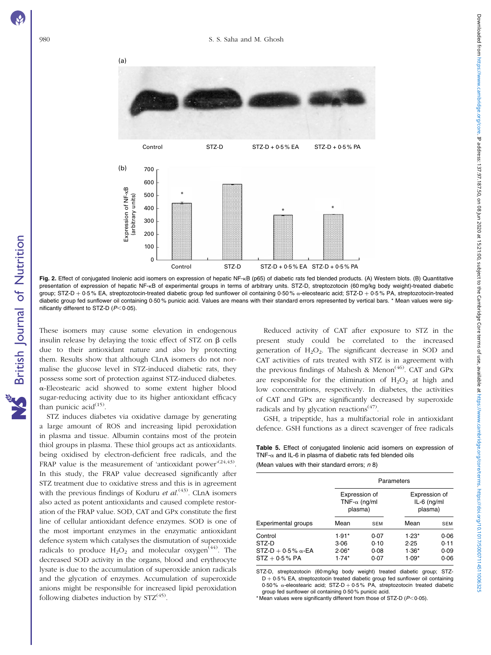NS British Journal of Nutrition

<span id="page-6-0"></span>



Fig. 2. Effect of conjugated linolenic acid isomers on expression of hepatic NF-KB (p65) of diabetic rats fed blended products. (A) Western blots. (B) Quantitative presentation of expression of hepatic NF-kB of experimental groups in terms of arbitrary units. STZ-D, streptozotocin (60 mg/kg body weight)-treated diabetic group; STZ-D + 0·5 % EA, streptozotocin-treated diabetic group fed sunflower oil containing 0·50 %  $\alpha$ -eleostearic acid; STZ-D + 0·5 % PA, streptozotocin-treated diabetic group fed sunflower oil containing 0·50 % punicic acid. Values are means with their standard errors represented by vertical bars. \* Mean values were significantly different to STZ-D  $(P<0.05)$ .

These isomers may cause some elevation in endogenous insulin release by delaying the toxic effect of  $STZ$  on  $\beta$  cells due to their antioxidant nature and also by protecting them. Results show that although CLnA isomers do not normalise the glucose level in STZ-induced diabetic rats, they possess some sort of protection against STZ-induced diabetes. a-Eleostearic acid showed to some extent higher blood sugar-reducing activity due to its higher antioxidant efficacy than punicic acid $^{(15)}$ .

STZ induces diabetes via oxidative damage by generating a large amount of ROS and increasing lipid peroxidation in plasma and tissue. Albumin contains most of the protein thiol groups in plasma. These thiol groups act as antioxidants. being oxidised by electron-deficient free radicals, and the FRAP value is the measurement of 'antioxidant power'<sup>(24,43)</sup>. In this study, the FRAP value decreased significantly after STZ treatment due to oxidative stress and this is in agreement with the previous findings of Koduru et  $al^{(43)}$ . CLnA isomers also acted as potent antioxidants and caused complete restoration of the FRAP value. SOD, CAT and GPx constitute the first line of cellular antioxidant defence enzymes. SOD is one of the most important enzymes in the enzymatic antioxidant defence system which catalyses the dismutation of superoxide radicals to produce  $H_2O_2$  and molecular oxygen<sup>(44)</sup>. The decreased SOD activity in the organs, blood and erythrocyte lysate is due to the accumulation of superoxide anion radicals and the glycation of enzymes. Accumulation of superoxide anions might be responsible for increased lipid peroxidation following diabetes induction by  $STZ^{(45)}$ .

Reduced activity of CAT after exposure to STZ in the present study could be correlated to the increased generation of  $H_2O_2$ . The significant decrease in SOD and CAT activities of rats treated with STZ is in agreement with the previous findings of Mahesh & Menon<sup>(46)</sup>. CAT and GPx are responsible for the elimination of  $H_2O_2$  at high and low concentrations, respectively. In diabetes, the activities of CAT and GPx are significantly decreased by superoxide radicals and by glycation reactions<sup> $(47)$ </sup>.

GSH, a tripeptide, has a multifactorial role in antioxidant defence. GSH functions as a direct scavenger of free radicals

Table 5. Effect of conjugated linolenic acid isomers on expression of TNF- $\alpha$  and IL-6 in plasma of diabetic rats fed blended oils

|  |  |  |  |  | (Mean values with their standard errors; n 8) |  |  |  |  |
|--|--|--|--|--|-----------------------------------------------|--|--|--|--|
|--|--|--|--|--|-----------------------------------------------|--|--|--|--|

|                                                                    | Parameters                                       |                              |                                           |                              |  |  |  |  |  |
|--------------------------------------------------------------------|--------------------------------------------------|------------------------------|-------------------------------------------|------------------------------|--|--|--|--|--|
|                                                                    | Expression of<br>TNF- $\alpha$ (ng/ml<br>plasma) |                              | Expression of<br>$IL-6$ (ng/ml<br>plasma) |                              |  |  |  |  |  |
| <b>Experimental groups</b>                                         | Mean                                             | <b>SEM</b>                   | Mean                                      | <b>SEM</b>                   |  |  |  |  |  |
| Control<br>STZ-D<br>$STZ-D + 0.5\% \alpha$ -EA<br>$STZ + 0.5\%$ PA | $1.91*$<br>3.06<br>$2.06*$<br>$1.74*$            | 0.07<br>0.10<br>0.08<br>0.07 | $1.23*$<br>2.25<br>$1.36*$<br>$1.09*$     | 0.06<br>0.11<br>0.09<br>0.06 |  |  |  |  |  |

STZ-D, streptozotocin (60 mg/kg body weight) treated diabetic group; STZ- $D + 0.5$  % EA, streptozotocin treated diabetic group fed sunflower oil containing 0.50 %  $\alpha$ -eleostearic acid: STZ-D + 0.5 % PA, streptozotocin treated diabetic group fed sunflower oil containing 0·50 % punicic acid.

\* Mean values were significantly different from those of STZ-D ( $P$ < 0.05).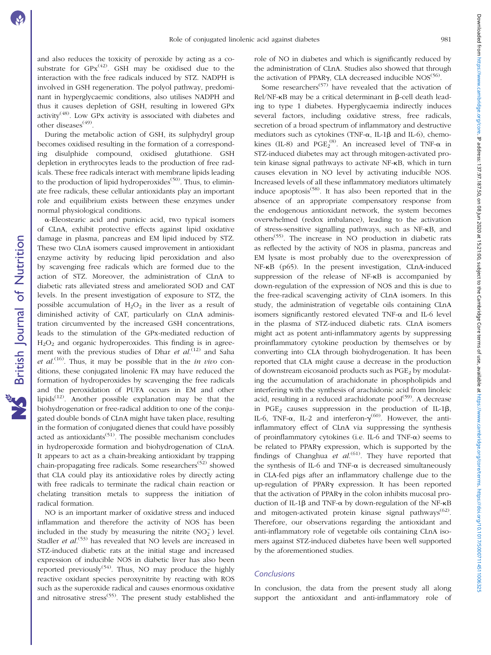and also reduces the toxicity of peroxide by acting as a cosubstrate for  $GPX^{(42)}$ . GSH may be oxidised due to the interaction with the free radicals induced by STZ. NADPH is involved in GSH regeneration. The polyol pathway, predominant in hyperglycaemic conditions, also utilises NADPH and thus it causes depletion of GSH, resulting in lowered GPx activity<sup> $(48)$ </sup>. Low GPx activity is associated with diabetes and other diseases(49).

During the metabolic action of GSH, its sulphydryl group becomes oxidised resulting in the formation of a corresponding disulphide compound, oxidised glutathione. GSH depletion in erythrocytes leads to the production of free radicals. These free radicals interact with membrane lipids leading to the production of lipid hydroperoxides $(50)$ . Thus, to eliminate free radicals, these cellular antioxidants play an important role and equilibrium exists between these enzymes under normal physiological conditions.

a-Eleostearic acid and punicic acid, two typical isomers of CLnA, exhibit protective effects against lipid oxidative damage in plasma, pancreas and EM lipid induced by STZ. These two CLnA isomers caused improvement in antioxidant enzyme activity by reducing lipid peroxidation and also by scavenging free radicals which are formed due to the action of STZ. Moreover, the administration of CLnA to diabetic rats alleviated stress and ameliorated SOD and CAT levels. In the present investigation of exposure to STZ, the possible accumulation of  $H_2O_2$  in the liver as a result of diminished activity of CAT, particularly on CLnA administration circumvented by the increased GSH concentrations, leads to the stimulation of the GPx-mediated reduction of  $H<sub>2</sub>O<sub>2</sub>$  and organic hydroperoxides. This finding is in agreement with the previous studies of Dhar *et al*.<sup>(12)</sup> and Saha et al.<sup>(16)</sup>. Thus, it may be possible that in the *in vivo* conditions, these conjugated linolenic FA may have reduced the formation of hydroperoxides by scavenging the free radicals and the peroxidation of PUFA occurs in EM and other lipids<sup> $(12)$ </sup>. Another possible explanation may be that the biohydrogenation or free-radical addition to one of the conjugated double bonds of CLnA might have taken place, resulting in the formation of conjugated dienes that could have possibly acted as antioxidants $(51)$ . The possible mechanism concludes in hydroperoxide formation and biohydrogenation of CLnA. It appears to act as a chain-breaking antioxidant by trapping chain-propagating free radicals. Some researchers<sup> $(52)$ </sup> showed that CLA could play its antioxidative roles by directly acting with free radicals to terminate the radical chain reaction or chelating transition metals to suppress the initiation of radical formation.

NO is an important marker of oxidative stress and induced inflammation and therefore the activity of NOS has been included in the study by measuring the nitrite  $(NO<sub>2</sub><sup>-</sup>)$  level. Stadler et  $al$ .<sup> $(53)$ </sup> has revealed that NO levels are increased in STZ-induced diabetic rats at the initial stage and increased expression of inducible NOS in diabetic liver has also been reported previously<sup> $(54)$ </sup>. Thus, NO may produce the highly reactive oxidant species peroxynitrite by reacting with ROS such as the superoxide radical and causes enormous oxidative and nitrosative stress(55). The present study established the

role of NO in diabetes and which is significantly reduced by the administration of CLnA. Studies also showed that through the activation of PPAR $\gamma$ , CLA decreased inducible NOS<sup>(56)</sup>.

Some researchers<sup>(57)</sup> have revealed that the activation of  $Rel/NF-\kappa B$  may be a critical determinant in  $\beta$ -cell death leading to type 1 diabetes. Hyperglycaemia indirectly induces several factors, including oxidative stress, free radicals, secretion of a broad spectrum of inflammatory and destructive mediators such as cytokines (TNF- $\alpha$ , IL-1 $\beta$  and IL-6), chemokines (IL-8) and  $PGE_2^{(8)}$ . An increased level of TNF- $\alpha$  in STZ-induced diabetes may act through mitogen-activated protein kinase signal pathways to activate NF-kB, which in turn causes elevation in NO level by activating inducible NOS. Increased levels of all these inflammatory mediators ultimately induce apoptosis<sup> $(58)$ </sup>. It has also been reported that in the absence of an appropriate compensatory response from the endogenous antioxidant network, the system becomes overwhelmed (redox imbalance), leading to the activation of stress-sensitive signalling pathways, such as NF-kB, and others(55). The increase in NO production in diabetic rats as reflected by the activity of NOS in plasma, pancreas and EM lysate is most probably due to the overexpression of NF-kB (p65). In the present investigation, CLnA-induced suppression of the release of NF-kB is accompanied by down-regulation of the expression of NOS and this is due to the free-radical scavenging activity of CLnA isomers. In this study, the administration of vegetable oils containing CLnA isomers significantly restored elevated TNF- $\alpha$  and IL-6 level in the plasma of STZ-induced diabetic rats. CLnA isomers might act as potent anti-inflammatory agents by suppressing proinflammatory cytokine production by themselves or by converting into CLA through biohydrogenation. It has been reported that CLA might cause a decrease in the production of downstream eicosanoid products such as  $PGE<sub>2</sub>$  by modulating the accumulation of arachidonate in phospholipids and interfering with the synthesis of arachidonic acid from linoleic acid, resulting in a reduced arachidonate pool<sup>(59)</sup>. A decrease in PGE<sub>2</sub> causes suppression in the production of IL-1 $\beta$ , IL-6, TNF- $\alpha$ , IL-2 and interferon- $\gamma^{(60)}$ . However, the antiinflammatory effect of CLnA via suppressing the synthesis of proinflammatory cytokines (i.e. IL-6 and TNF- $\alpha$ ) seems to be related to PPARg expression, which is supported by the findings of Changhua et  $al^{(61)}$ . They have reported that the synthesis of IL-6 and TNF- $\alpha$  is decreased simultaneously in CLA-fed pigs after an inflammatory challenge due to the up-regulation of PPARg expression. It has been reported that the activation of PPAR $\gamma$  in the colon inhibits mucosal production of IL-1 $\beta$  and TNF- $\alpha$  by down-regulation of the NF- $\kappa$ B and mitogen-activated protein kinase signal pathways<sup> $(62)$ </sup>. Therefore, our observations regarding the antioxidant and anti-inflammatory role of vegetable oils containing CLnA isomers against STZ-induced diabetes have been well supported by the aforementioned studies.

#### Conclusions

In conclusion, the data from the present study all along support the antioxidant and anti-inflammatory role of Downloaded from https://www.cambridge.org/core. IP address: 137.97.187.50, on 08 Jun 2020 at 15:21:00, subject to the Cambridge Core terms of use, available at https://www.cambridge.Core terms of use, available at https:// Downloaded from https://www.cambridge.org/core. IP address: 137.90, on 08 Jun 2020 at 15:21:00, subject to the Cambridge Core terms of use, available at https://www.cambridge.org/core/terms. https://www.cambridge.org/core/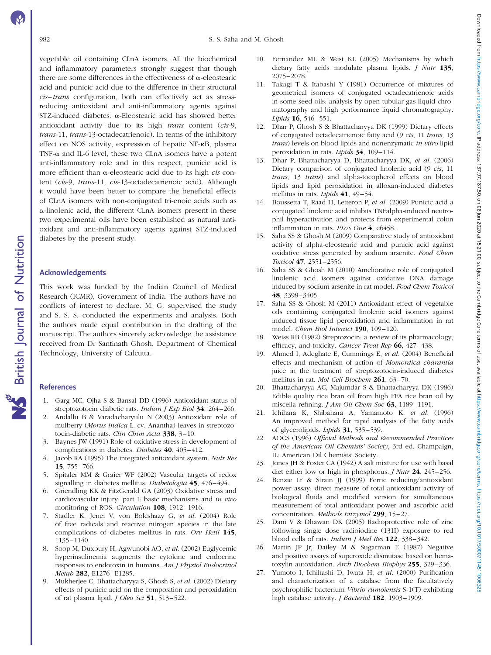vegetable oil containing CLnA isomers. All the biochemical and inflammatory parameters strongly suggest that though there are some differences in the effectiveness of  $\alpha$ -eleostearic acid and punicic acid due to the difference in their structural cis–trans configuration, both can effectively act as stressreducing antioxidant and anti-inflammatory agents against STZ-induced diabetes. a-Eleostearic acid has showed better antioxidant activity due to its high trans content (cis-9, trans-11, trans-13-octadecatrienoic). In terms of the inhibitory effect on NOS activity, expression of hepatic NF-kB, plasma TNF- $\alpha$  and IL-6 level, these two CLnA isomers have a potent anti-inflammatory role and in this respect, punicic acid is more efficient than  $\alpha$ -eleostearic acid due to its high *cis* content (cis-9, trans-11, cis-13-octadecatrienoic acid). Although it would have been better to compare the beneficial effects of CLnA isomers with non-conjugated tri-enoic acids such as  $\alpha$ -linolenic acid, the different CLnA isomers present in these two experimental oils have been established as natural antioxidant and anti-inflammatory agents against STZ-induced diabetes by the present study.

## Acknowledgements

This work was funded by the Indian Council of Medical Research (ICMR), Government of India. The authors have no conflicts of interest to declare. M. G. supervised the study and S. S. S. conducted the experiments and analysis. Both the authors made equal contribution in the drafting of the manuscript. The authors sincerely acknowledge the assistance received from Dr Santinath Ghosh, Department of Chemical Technology, University of Calcutta.

## References

- 1. Garg MC, Ojha S & Bansal DD (1996) Antioxidant status of streptozotocin diabetic rats. Indian J Exp Biol 34, 264-266.
- 2. Andallu B & Varadacharyulu N (2003) Antioxidant role of mulberry (Morus indica L. cv. Anantha) leaves in streptozotocin-diabetic rats. Clin Chim Acta 338, 3-10.
- 3. Baynes JW (1991) Role of oxidative stress in development of complications in diabetes. Diabetes 40, 405–412.
- 4. Jacob RA (1995) The integrated antioxidant system. Nutr Res 15, 755–766.
- 5. Spitaler MM & Graier WF (2002) Vascular targets of redox signalling in diabetes mellitus. Diabetologia 45, 476–494.
- 6. Griendling KK & FitzGerald GA (2003) Oxidative stress and cardiovascular injury: part I: basic mechanisms and in vivo monitoring of ROS. Circulation 108, 1912-1916.
- 7. Stadler K, Jenei V, von Bolcshazy G, et al. (2004) Role of free radicals and reactive nitrogen species in the late complications of diabetes mellitus in rats. Orv Hetil 145, 1135–1140.
- 8. Soop M, Duxbury H, Agwunobi AO, et al. (2002) Euglycemic hyperinsulinemia augments the cytokine and endocrine responses to endotoxin in humans. Am J Physiol Endocrinol Metab 282, E1276–E1285.
- 9. Mukherjee C, Bhattacharyya S, Ghosh S, et al. (2002) Dietary effects of punicic acid on the composition and peroxidation of rat plasma lipid. *J Oleo Sci* 51, 513-522.
- 10. Fernandez ML & West KL (2005) Mechanisms by which dietary fatty acids modulate plasma lipids. J Nutr 135, 2075–2078.
- 11. Takagi T & Itabashi Y (1981) Occurrence of mixtures of geometrical isomers of conjugated octadecatrienoic acids in some seed oils: analysis by open tubular gas liquid chromatography and high performance liquid chromatography. Lipids 16, 546–551.
- 12. Dhar P, Ghosh S & Bhattacharyya DK (1999) Dietary effects of conjugated octadecatrienoic fatty acid (9 cis, 11 trans, 13 trans) levels on blood lipids and nonenzymatic in vitro lipid peroxidation in rats. Lipids 34, 109–114.
- 13. Dhar P, Bhattacharyya D, Bhattacharyya DK, et al. (2006) Dietary comparison of conjugated linolenic acid (9 cis, 11 trans, 13 trans) and alpha-tocopherol effects on blood lipids and lipid peroxidation in alloxan-induced diabetes mellitus in rats. Lipids 41, 49–54.
- 14. Boussetta T, Raad H, Letteron P, et al. (2009) Punicic acid a conjugated linolenic acid inhibits TNFalpha-induced neutrophil hyperactivation and protects from experimental colon inflammation in rats. PLoS One 4, e6458.
- 15. Saha SS & Ghosh M (2009) Comparative study of antioxidant activity of alpha-eleostearic acid and punicic acid against oxidative stress generated by sodium arsenite. Food Chem Toxicol 47, 2551–2556.
- 16. Saha SS & Ghosh M (2010) Ameliorative role of conjugated linolenic acid isomers against oxidative DNA damage induced by sodium arsenite in rat model. Food Chem Toxicol 48, 3398–3405.
- 17. Saha SS & Ghosh M (2011) Antioxidant effect of vegetable oils containing conjugated linolenic acid isomers against induced tissue lipid peroxidation and inflammation in rat model. Chem Biol Interact 190, 109–120.
- 18. Weiss RB (1982) Streptozocin: a review of its pharmacology, efficacy, and toxicity. Cancer Treat Rep 66, 427–438.
- 19. Ahmed I, Adeghate E, Cummings E, et al. (2004) Beneficial effects and mechanism of action of Momordica charantia juice in the treatment of streptozotocin-induced diabetes mellitus in rat. Mol Cell Biochem 261, 63–70.
- 20. Bhattacharyya AC, Majumdar S & Bhattacharyya DK (1986) Edible quality rice bran oil from high FFA rice bran oil by miscella refining. J Am Oil Chem Soc 63, 1189-1191.
- 21. Ichihara K, Shibahara A, Yamamoto K, et al. (1996) An improved method for rapid analysis of the fatty acids of glycerolipids. Lipids 31, 535–539.
- 22. AOCS (1996) Official Methods and Recommended Practices of the American Oil Chemists' Society, 3rd ed. Champaign, IL: American Oil Chemists' Society.
- 23. Jones JH & Foster CA (1942) A salt mixture for use with basal diet either low or high in phosphorus. *I Nutr* 24, 245–256.
- 24. Benzie IF & Strain JJ (1999) Ferric reducing/antioxidant power assay: direct measure of total antioxidant activity of biological fluids and modified version for simultaneous measurement of total antioxidant power and ascorbic acid concentration. Methods Enzymol 299, 15-27.
- 25. Dani V & Dhawan DK (2005) Radioprotective role of zinc following single dose radioiodine (131I) exposure to red blood cells of rats. Indian J Med Res 122, 338–342.
- 26. Martin JP Jr, Dailey M & Sugarman E (1987) Negative and positive assays of superoxide dismutase based on hematoxylin autoxidation. Arch Biochem Biophys 255, 329–336.
- 27. Yumoto I, Ichihashi D, Iwata H, et al. (2000) Purification and characterization of a catalase from the facultatively psychrophilic bacterium Vibrio rumoiensis S-1(T) exhibiting high catalase activity. *J Bacteriol* **182**, 1903-1909.